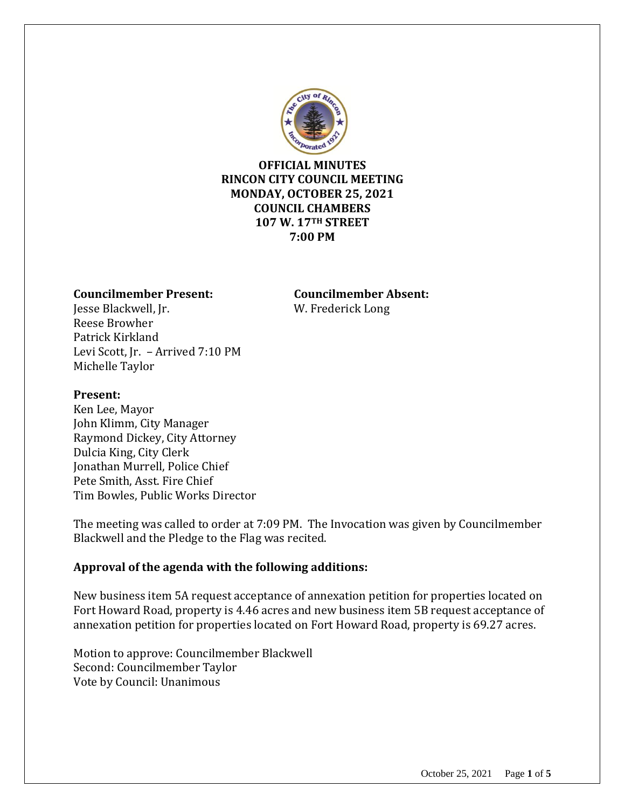

## **OFFICIAL MINUTES RINCON CITY COUNCIL MEETING MONDAY, OCTOBER 25, 2021 COUNCIL CHAMBERS 107 W. 17TH STREET 7:00 PM**

#### **Councilmember Present: Councilmember Absent:**

Jesse Blackwell, Jr. W. Frederick Long Reese Browher Patrick Kirkland Levi Scott, Jr. – Arrived 7:10 PM Michelle Taylor

#### **Present:**

Ken Lee, Mayor John Klimm, City Manager Raymond Dickey, City Attorney Dulcia King, City Clerk Jonathan Murrell, Police Chief Pete Smith, Asst. Fire Chief Tim Bowles, Public Works Director

The meeting was called to order at 7:09 PM. The Invocation was given by Councilmember Blackwell and the Pledge to the Flag was recited.

## **Approval of the agenda with the following additions:**

New business item 5A request acceptance of annexation petition for properties located on Fort Howard Road, property is 4.46 acres and new business item 5B request acceptance of annexation petition for properties located on Fort Howard Road, property is 69.27 acres.

Motion to approve: Councilmember Blackwell Second: Councilmember Taylor Vote by Council: Unanimous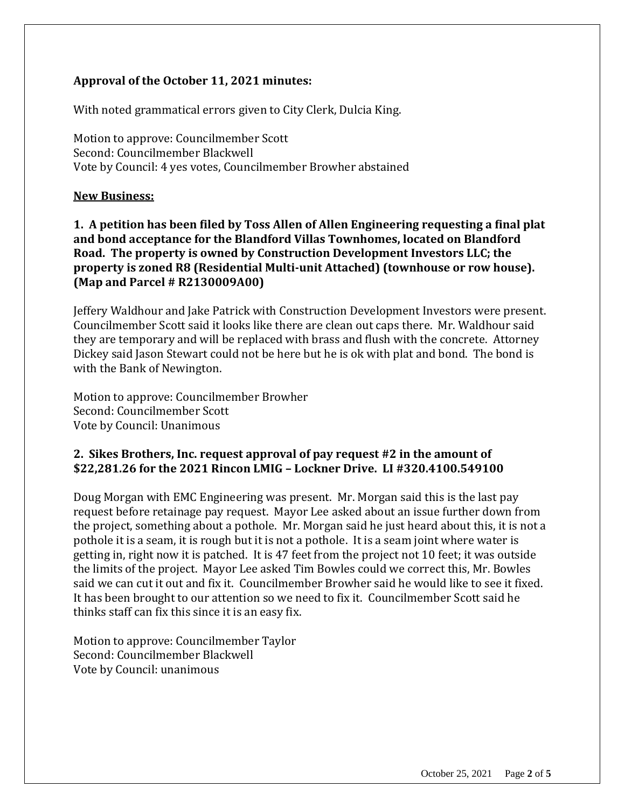# **Approval of the October 11, 2021 minutes:**

With noted grammatical errors given to City Clerk, Dulcia King.

Motion to approve: Councilmember Scott Second: Councilmember Blackwell Vote by Council: 4 yes votes, Councilmember Browher abstained

#### **New Business:**

**1. A petition has been filed by Toss Allen of Allen Engineering requesting a final plat and bond acceptance for the Blandford Villas Townhomes, located on Blandford Road. The property is owned by Construction Development Investors LLC; the property is zoned R8 (Residential Multi-unit Attached) (townhouse or row house). (Map and Parcel # R2130009A00)**

Jeffery Waldhour and Jake Patrick with Construction Development Investors were present. Councilmember Scott said it looks like there are clean out caps there. Mr. Waldhour said they are temporary and will be replaced with brass and flush with the concrete. Attorney Dickey said Jason Stewart could not be here but he is ok with plat and bond. The bond is with the Bank of Newington.

Motion to approve: Councilmember Browher Second: Councilmember Scott Vote by Council: Unanimous

## **2. Sikes Brothers, Inc. request approval of pay request #2 in the amount of \$22,281.26 for the 2021 Rincon LMIG – Lockner Drive. LI #320.4100.549100**

Doug Morgan with EMC Engineering was present. Mr. Morgan said this is the last pay request before retainage pay request. Mayor Lee asked about an issue further down from the project, something about a pothole. Mr. Morgan said he just heard about this, it is not a pothole it is a seam, it is rough but it is not a pothole. It is a seam joint where water is getting in, right now it is patched. It is 47 feet from the project not 10 feet; it was outside the limits of the project. Mayor Lee asked Tim Bowles could we correct this, Mr. Bowles said we can cut it out and fix it. Councilmember Browher said he would like to see it fixed. It has been brought to our attention so we need to fix it. Councilmember Scott said he thinks staff can fix this since it is an easy fix.

Motion to approve: Councilmember Taylor Second: Councilmember Blackwell Vote by Council: unanimous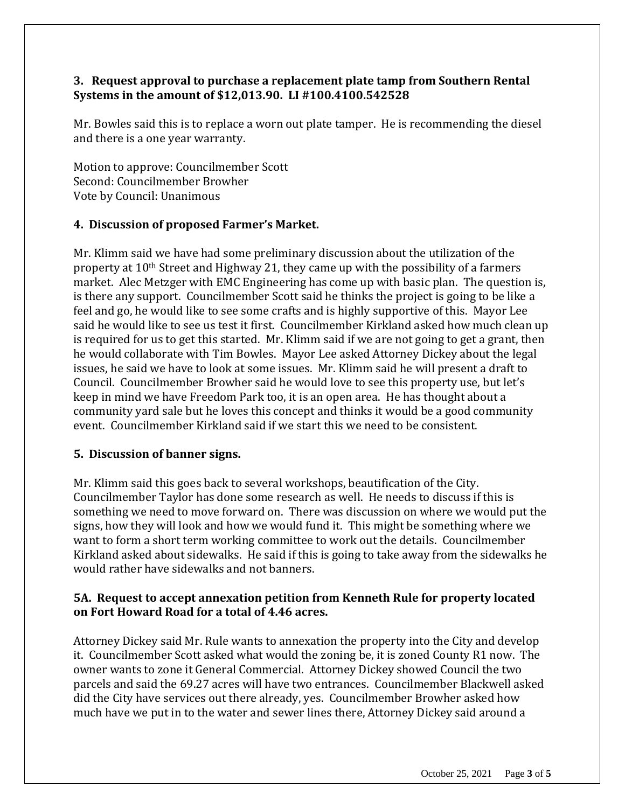# **3. Request approval to purchase a replacement plate tamp from Southern Rental Systems in the amount of \$12,013.90. LI #100.4100.542528**

Mr. Bowles said this is to replace a worn out plate tamper. He is recommending the diesel and there is a one year warranty.

Motion to approve: Councilmember Scott Second: Councilmember Browher Vote by Council: Unanimous

## **4. Discussion of proposed Farmer's Market.**

Mr. Klimm said we have had some preliminary discussion about the utilization of the property at 10th Street and Highway 21, they came up with the possibility of a farmers market. Alec Metzger with EMC Engineering has come up with basic plan. The question is, is there any support. Councilmember Scott said he thinks the project is going to be like a feel and go, he would like to see some crafts and is highly supportive of this. Mayor Lee said he would like to see us test it first. Councilmember Kirkland asked how much clean up is required for us to get this started. Mr. Klimm said if we are not going to get a grant, then he would collaborate with Tim Bowles. Mayor Lee asked Attorney Dickey about the legal issues, he said we have to look at some issues. Mr. Klimm said he will present a draft to Council. Councilmember Browher said he would love to see this property use, but let's keep in mind we have Freedom Park too, it is an open area. He has thought about a community yard sale but he loves this concept and thinks it would be a good community event. Councilmember Kirkland said if we start this we need to be consistent.

## **5. Discussion of banner signs.**

Mr. Klimm said this goes back to several workshops, beautification of the City. Councilmember Taylor has done some research as well. He needs to discuss if this is something we need to move forward on. There was discussion on where we would put the signs, how they will look and how we would fund it. This might be something where we want to form a short term working committee to work out the details. Councilmember Kirkland asked about sidewalks. He said if this is going to take away from the sidewalks he would rather have sidewalks and not banners.

# **5A. Request to accept annexation petition from Kenneth Rule for property located on Fort Howard Road for a total of 4.46 acres.**

Attorney Dickey said Mr. Rule wants to annexation the property into the City and develop it. Councilmember Scott asked what would the zoning be, it is zoned County R1 now. The owner wants to zone it General Commercial. Attorney Dickey showed Council the two parcels and said the 69.27 acres will have two entrances. Councilmember Blackwell asked did the City have services out there already, yes. Councilmember Browher asked how much have we put in to the water and sewer lines there, Attorney Dickey said around a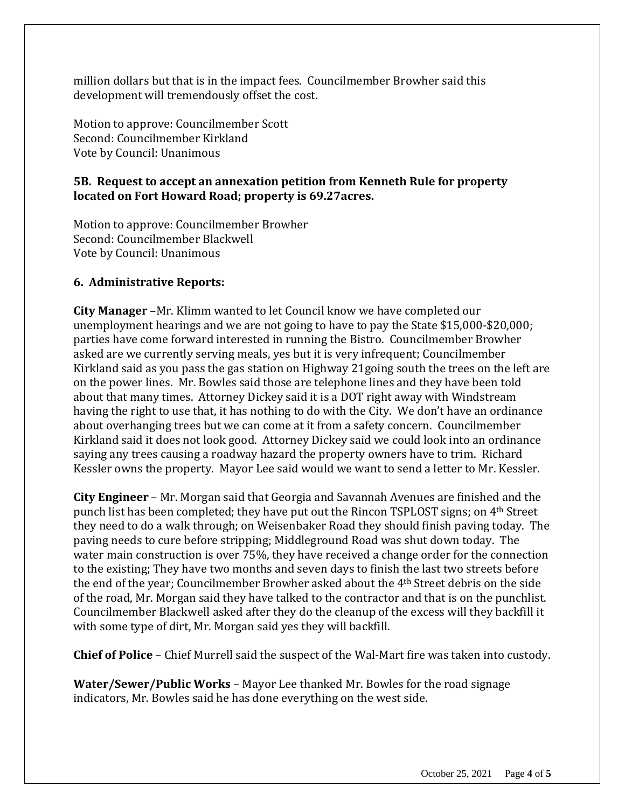million dollars but that is in the impact fees. Councilmember Browher said this development will tremendously offset the cost.

Motion to approve: Councilmember Scott Second: Councilmember Kirkland Vote by Council: Unanimous

## **5B. Request to accept an annexation petition from Kenneth Rule for property located on Fort Howard Road; property is 69.27acres.**

Motion to approve: Councilmember Browher Second: Councilmember Blackwell Vote by Council: Unanimous

## **6. Administrative Reports:**

**City Manager** –Mr. Klimm wanted to let Council know we have completed our unemployment hearings and we are not going to have to pay the State \$15,000-\$20,000; parties have come forward interested in running the Bistro. Councilmember Browher asked are we currently serving meals, yes but it is very infrequent; Councilmember Kirkland said as you pass the gas station on Highway 21going south the trees on the left are on the power lines. Mr. Bowles said those are telephone lines and they have been told about that many times. Attorney Dickey said it is a DOT right away with Windstream having the right to use that, it has nothing to do with the City. We don't have an ordinance about overhanging trees but we can come at it from a safety concern. Councilmember Kirkland said it does not look good. Attorney Dickey said we could look into an ordinance saying any trees causing a roadway hazard the property owners have to trim. Richard Kessler owns the property. Mayor Lee said would we want to send a letter to Mr. Kessler.

**City Engineer** – Mr. Morgan said that Georgia and Savannah Avenues are finished and the punch list has been completed; they have put out the Rincon TSPLOST signs; on 4th Street they need to do a walk through; on Weisenbaker Road they should finish paving today. The paving needs to cure before stripping; Middleground Road was shut down today. The water main construction is over 75%, they have received a change order for the connection to the existing; They have two months and seven days to finish the last two streets before the end of the year; Councilmember Browher asked about the 4th Street debris on the side of the road, Mr. Morgan said they have talked to the contractor and that is on the punchlist. Councilmember Blackwell asked after they do the cleanup of the excess will they backfill it with some type of dirt, Mr. Morgan said yes they will backfill.

**Chief of Police** – Chief Murrell said the suspect of the Wal-Mart fire was taken into custody.

**Water/Sewer/Public Works** – Mayor Lee thanked Mr. Bowles for the road signage indicators, Mr. Bowles said he has done everything on the west side.